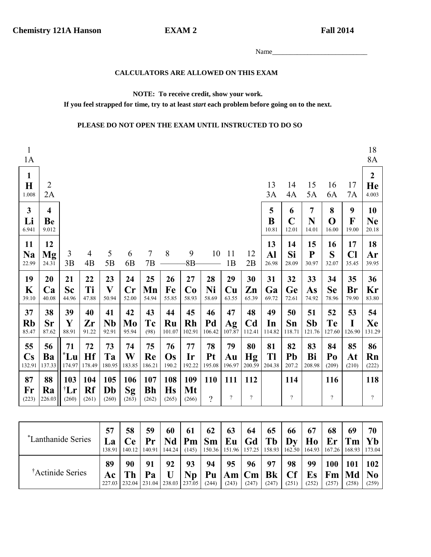**EXAM2** 

**Fall 2014** 

## CALCULATORS ARE ALLOWED ON THIS EXAM

## NOTE: To receive credit, show your work.

If you feel strapped for time, try to at least *start* each problem before going on to the next.

## PLEASE DO NOT OPEN THE EXAM UNTIL INSTRUCTED TO DO SO

| $\mathbf{1}$<br>1A                     |                                        |                                 |                      |                    |                    |                           |                           |                    |                        |                       |                                |                    |                           |                          |                           |                           | 18<br>8A                        |
|----------------------------------------|----------------------------------------|---------------------------------|----------------------|--------------------|--------------------|---------------------------|---------------------------|--------------------|------------------------|-----------------------|--------------------------------|--------------------|---------------------------|--------------------------|---------------------------|---------------------------|---------------------------------|
| $\mathbf{1}$<br>$\mathbf H$<br>1.008   | $\overline{2}$<br>2A                   |                                 |                      |                    |                    |                           |                           |                    |                        |                       |                                | 13<br>3A           | 14<br>4A                  | 15<br>5A                 | 16<br>6A                  | 17<br>7A                  | $\boldsymbol{2}$<br>He<br>4.003 |
| $\mathbf{3}$<br>Li<br>6.941            | $\overline{\mathbf{4}}$<br>Be<br>9.012 |                                 |                      |                    |                    |                           |                           |                    |                        |                       |                                | 5<br>B<br>10.81    | 6<br>$\mathbf C$<br>12.01 | 7<br>N<br>14.01          | 8<br>$\mathbf 0$<br>16.00 | 9<br>$\mathbf F$<br>19.00 | 10<br><b>Ne</b><br>20.18        |
| 11<br><b>Na</b><br>22.99               | 12<br><b>Mg</b><br>24.31               | 3<br>3B                         | $\overline{4}$<br>4B | 5<br>5B            | 6<br>6B            | $\overline{7}$<br>7B      | 8                         | 9<br>$8B -$        | 10                     | 11<br>1B              | 12<br>2B                       | 13<br>Al<br>26.98  | 14<br>Si<br>28.09         | 15<br>${\bf P}$<br>30.97 | 16<br>S<br>32.07          | 17<br>Cl<br>35.45         | 18<br>Ar<br>39.95               |
| 19<br>K<br>39.10                       | 20<br>Ca<br>40.08                      | 21<br><b>Sc</b><br>44.96        | 22<br>Ti<br>47.88    | 23<br>V<br>50.94   | 24<br>Cr<br>52.00  | 25<br>Mn<br>54.94         | 26<br>Fe<br>55.85         | 27<br>Co<br>58.93  | 28<br>Ni<br>58.69      | 29<br>Cu<br>63.55     | 30<br>Zn<br>65.39              | 31<br>Ga<br>69.72  | 32<br>Ge<br>72.61         | 33<br>As<br>74.92        | 34<br><b>Se</b><br>78.96  | 35<br>Br<br>79.90         | 36<br>Kr<br>83.80               |
| 37<br>Rb<br>85.47                      | 38<br><b>Sr</b><br>87.62               | 39<br>Y<br>88.91                | 40<br>Zr<br>91.22    | 41<br>Nb<br>92.91  | 42<br>Mo<br>95.94  | 43<br>Tc<br>(98)          | 44<br>Ru<br>101.07        | 45<br>Rh<br>102.91 | 46<br>Pd<br>106.42     | 47<br>Ag<br>107.87    | 48<br>C <sub>d</sub><br>112.41 | 49<br>In<br>114.82 | 50<br>Sn<br>118.71        | 51<br>Sb<br>121.76       | 52<br><b>Te</b><br>127.60 | 53<br>I<br>126.90         | 54<br>Xe<br>131.29              |
| 55<br>$\mathbf{C}\mathbf{s}$<br>132.91 | 56<br>Ba<br>137.33                     | 71<br>$^*$ Lu<br>174.97         | 72<br>Hf<br>178.49   | 73<br>Ta<br>180.95 | 74<br>W<br>183.85  | 75<br>Re<br>186.21        | 76<br>Os<br>190.2         | 77<br>Ir<br>192.22 | 78<br>Pt<br>195.08     | 79<br>Au<br>196.97    | 80<br>Hg<br>200.59             | 81<br>Tl<br>204.38 | 82<br>Pb<br>207.2         | 83<br>Bi<br>208.98       | 84<br>Po<br>(209)         | 85<br>At<br>(210)         | 86<br>Rn<br>(222)               |
| 87<br>Fr<br>(223)                      | 88<br>Ra<br>226.03                     | 103<br>$^{\dagger}$ Lr<br>(260) | 104<br>Rf<br>(261)   | 105<br>Db<br>(260) | 106<br>Sg<br>(263) | 107<br><b>Bh</b><br>(262) | 108<br><b>Hs</b><br>(265) | 109<br>Mt<br>(266) | <b>110</b><br>$\gamma$ | 111<br>$\overline{?}$ | 112<br>$\overline{?}$          |                    | 114<br>$\overline{?}$     |                          | 116<br>$\overline{?}$     |                           | 118<br>$\gamma$                 |

| *Lanthanide Series           | 57<br>La<br>138.91 | 58<br>Ce | 59<br>Pr<br>140.12   140.91   144.24                   | 60           | 61       | 62<br>$Nd$   Pm   Sm   Eu   Gd   Tb   Dy   Ho   Er   Tm   Yb<br>$(145)$   150.36   151.96   157.25   158.93   162.50   164.93   167.26   168.93   173.04 | 63          | 64          | 65          | 66                       | 67                         | 68                        | 69           | 70           |
|------------------------------|--------------------|----------|--------------------------------------------------------|--------------|----------|----------------------------------------------------------------------------------------------------------------------------------------------------------|-------------|-------------|-------------|--------------------------|----------------------------|---------------------------|--------------|--------------|
| <sup>†</sup> Actinide Series | 89<br>Ac           | 90<br>Th | 91<br>Pa<br>227.03   232.04   231.04   238.03   237.05 | 92<br>$\cup$ | 93<br>Np | 94<br>  Pu $ \mathbf{Am} \mathbf{Cm} \mathbf{Bk} $<br>(244)                                                                                              | 95<br>(243) | 96<br>(247) | 97<br>(247) | 98<br><b>Cf</b><br>(251) | 99<br>$E_{\rm S}$<br>(252) | 100<br> Fm Md No<br>(257) | 101<br>(258) | 102<br>(259) |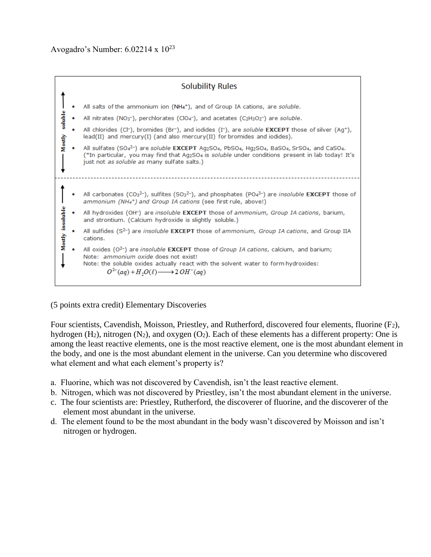

(5 points extra credit) Elementary Discoveries

Four scientists, Cavendish, Moisson, Priestley, and Rutherford, discovered four elements, fluorine (F2), hydrogen  $(H_2)$ , nitrogen  $(N_2)$ , and oxygen  $(O_2)$ . Each of these elements has a different property: One is among the least reactive elements, one is the most reactive element, one is the most abundant element in the body, and one is the most abundant element in the universe. Can you determine who discovered what element and what each element's property is?

- a. Fluorine, which was not discovered by Cavendish, isn't the least reactive element.
- b. Nitrogen, which was not discovered by Priestley, isn't the most abundant element in the universe.
- c. The four scientists are: Priestley, Rutherford, the discoverer of fluorine, and the discoverer of the element most abundant in the universe.
- d. The element found to be the most abundant in the body wasn't discovered by Moisson and isn't nitrogen or hydrogen.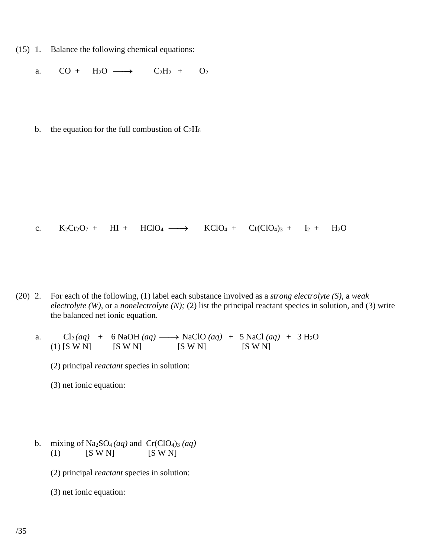- (15) 1. Balance the following chemical equations:
	- a.  $CO + H_2O \longrightarrow$  $C_2H_2 + O_2$
	- b. the equation for the full combustion of  $C_2H_6$

c. 
$$
K_2Cr_2O_7 + HI + HClO_4 \longrightarrow KClO_4 + Cr(ClO_4)_3 + I_2 + H_2O
$$

(20) 2. For each of the following, (1) label each substance involved as a *strong electrolyte (S)*, a *weak electrolyte (W),* or a *nonelectrolyte (N);* (2) list the principal reactant species in solution, and (3) write the balanced net ionic equation.

a. Cl<sub>2</sub>(*aq*) + 6 NaOH (*aq*)  $\longrightarrow$  NaClO (*aq*) + 5 NaCl (*aq*) + 3 H<sub>2</sub>O (1) [S W N] [S W N] [S W N] [S W N]

- (2) principal *reactant* species in solution:
- (3) net ionic equation:
- b. mixing of  $Na_2SO_4(aq)$  and  $Cr(CIO_4)_3(aq)$ (1)  $[S W N]$   $[S W N]$ 
	- (2) principal *reactant* species in solution:
	- (3) net ionic equation: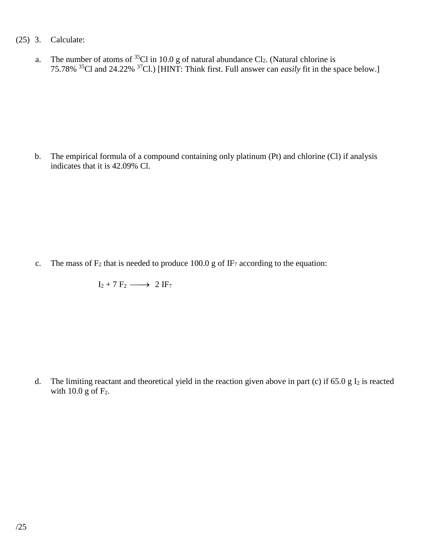- (25) 3. Calculate:
	- a. The number of atoms of  ${}^{35}Cl$  in 10.0 g of natural abundance  $Cl_2$ . (Natural chlorine is 75.78% <sup>35</sup>Cl and 24.22% <sup>37</sup>Cl.) [HINT: Think first. Full answer can *easily* fit in the space below.]

b. The empirical formula of a compound containing only platinum (Pt) and chlorine (Cl) if analysis indicates that it is 42.09% Cl.

c. The mass of  $F_2$  that is needed to produce 100.0 g of IF<sub>7</sub> according to the equation:

 $I_2 + 7 F_2 \longrightarrow 2 IF_7$ 

d. The limiting reactant and theoretical yield in the reaction given above in part (c) if  $65.0 \text{ g}$  I<sub>2</sub> is reacted with 10.0 g of  $F_2$ .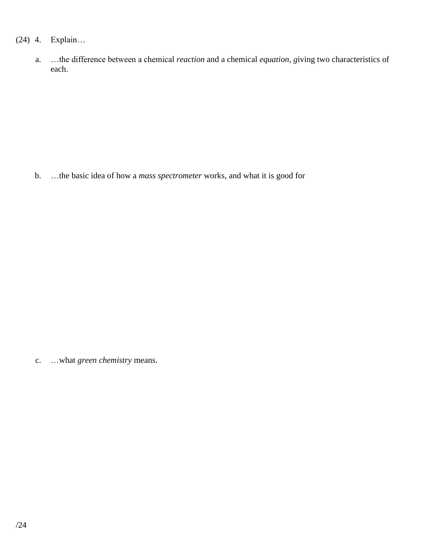## (24) 4. Explain…

a. …the difference between a chemical *reaction* and a chemical *equation, g*iving two characteristics of each.

b. …the basic idea of how a *mass spectrometer* works, and what it is good for

c. …what *green chemistry* means.